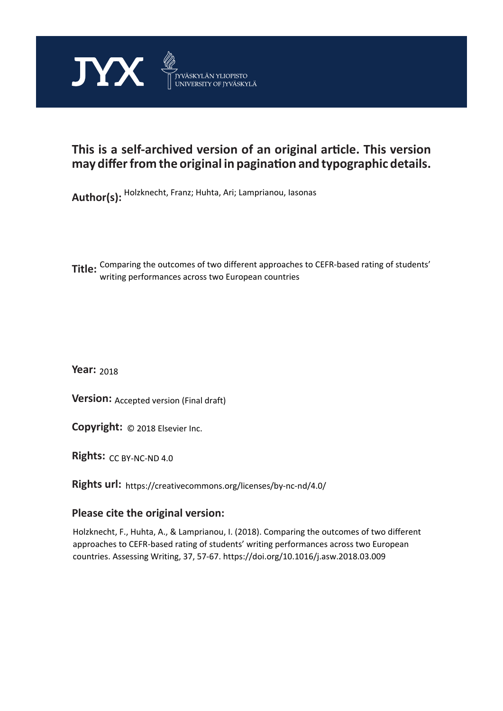

# **This is a self-archived version of an original article. This version may differ from the original in pagination and typographic details.**

**Author(s):**  Holzknecht, Franz; Huhta, Ari; Lamprianou, Iasonas

**Title:** Comparing the outcomes of two different approaches to CEFR-based rating of students' writing performances across two European countries

**Year:**  2018

**Version:** Accepted version (Final draft)<br>**Copyright:** © 2018 Elsevier Inc.

**Copyright:**

**Rights:** CC BY-NC-ND 4.0

**Rights url:**  https://creativecommons.org/licenses/by-nc-nd/4.0/

## **Please cite the original version:**

Holzknecht, F., Huhta, A., & Lamprianou, I. (2018). Comparing the outcomes of two different approaches to CEFR-based rating of students' writing performances across two European countries. Assessing Writing, 37, 57-67. https://doi.org/10.1016/j.asw.2018.03.009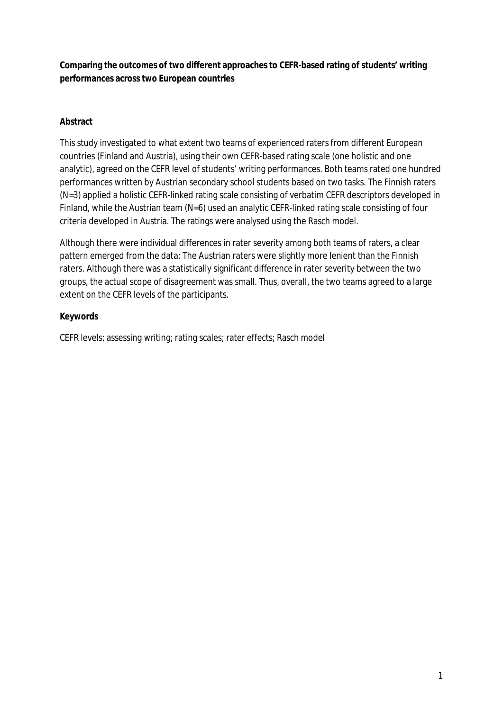**Comparing the outcomes of two different approaches to CEFR-based rating of students' writing performances across two European countries**

## **Abstract**

This study investigated to what extent two teams of experienced raters from different European countries (Finland and Austria), using their own CEFR-based rating scale (one holistic and one analytic), agreed on the CEFR level of students' writing performances. Both teams rated one hundred performances written by Austrian secondary school students based on two tasks. The Finnish raters (N=3) applied a holistic CEFR-linked rating scale consisting of verbatim CEFR descriptors developed in Finland, while the Austrian team (N=6) used an analytic CEFR-linked rating scale consisting of four criteria developed in Austria. The ratings were analysed using the Rasch model.

Although there were individual differences in rater severity among both teams of raters, a clear pattern emerged from the data: The Austrian raters were slightly more lenient than the Finnish raters. Although there was a statistically significant difference in rater severity between the two groups, the actual scope of disagreement was small. Thus, overall, the two teams agreed to a large extent on the CEFR levels of the participants.

### **Keywords**

CEFR levels; assessing writing; rating scales; rater effects; Rasch model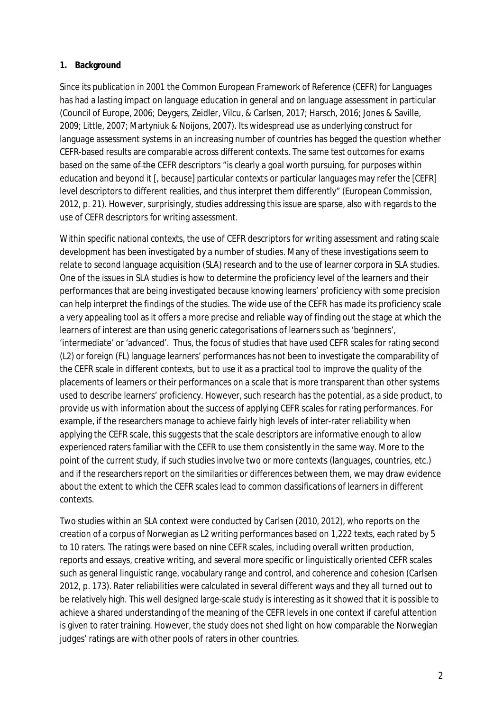### **1. Background**

Since its publication in 2001 the Common European Framework of Reference (CEFR) for Languages has had a lasting impact on language education in general and on language assessment in particular (Council of Europe, 2006; Deygers, Zeidler, Vilcu, & Carlsen, 2017; Harsch, 2016; Jones & Saville, 2009; Little, 2007; Martyniuk & Noijons, 2007). Its widespread use as underlying construct for language assessment systems in an increasing number of countries has begged the question whether CEFR-based results are comparable across different contexts. The same test outcomes for exams based on the same of the CEFR descriptors "is clearly a goal worth pursuing, for purposes within education and beyond it [, because] particular contexts or particular languages may refer the [CEFR] level descriptors to different realities, and thus interpret them differently" (European Commission, 2012, p. 21). However, surprisingly, studies addressing this issue are sparse, also with regards to the use of CEFR descriptors for writing assessment.

Within specific national contexts, the use of CEFR descriptors for writing assessment and rating scale development has been investigated by a number of studies. Many of these investigations seem to relate to second language acquisition (SLA) research and to the use of learner corpora in SLA studies. One of the issues in SLA studies is how to determine the proficiency level of the learners and their performances that are being investigated because knowing learners' proficiency with some precision can help interpret the findings of the studies. The wide use of the CEFR has made its proficiency scale a very appealing tool as it offers a more precise and reliable way of finding out the stage at which the learners of interest are than using generic categorisations of learners such as 'beginners', 'intermediate' or 'advanced'. Thus, the focus of studies that have used CEFR scales for rating second (L2) or foreign (FL) language learners' performances has not been to investigate the comparability of the CEFR scale in different contexts, but to use it as a practical tool to improve the quality of the placements of learners or their performances on a scale that is more transparent than other systems used to describe learners' proficiency. However, such research has the potential, as a side product, to provide us with information about the success of applying CEFR scales for rating performances. For example, if the researchers manage to achieve fairly high levels of inter-rater reliability when applying the CEFR scale, this suggests that the scale descriptors are informative enough to allow experienced raters familiar with the CEFR to use them consistently in the same way. More to the point of the current study, if such studies involve two or more contexts (languages, countries, etc.) and if the researchers report on the similarities or differences between them, we may draw evidence about the extent to which the CEFR scales lead to common classifications of learners in different contexts.

Two studies within an SLA context were conducted by Carlsen (2010, 2012), who reports on the creation of a corpus of Norwegian as L2 writing performances based on 1,222 texts, each rated by 5 to 10 raters. The ratings were based on nine CEFR scales, including overall written production, reports and essays, creative writing, and several more specific or linguistically oriented CEFR scales such as general linguistic range, vocabulary range and control, and coherence and cohesion (Carlsen 2012, p. 173). Rater reliabilities were calculated in several different ways and they all turned out to be relatively high. This well designed large-scale study is interesting as it showed that it is possible to achieve a shared understanding of the meaning of the CEFR levels in one context if careful attention is given to rater training. However, the study does not shed light on how comparable the Norwegian judges' ratings are with other pools of raters in other countries.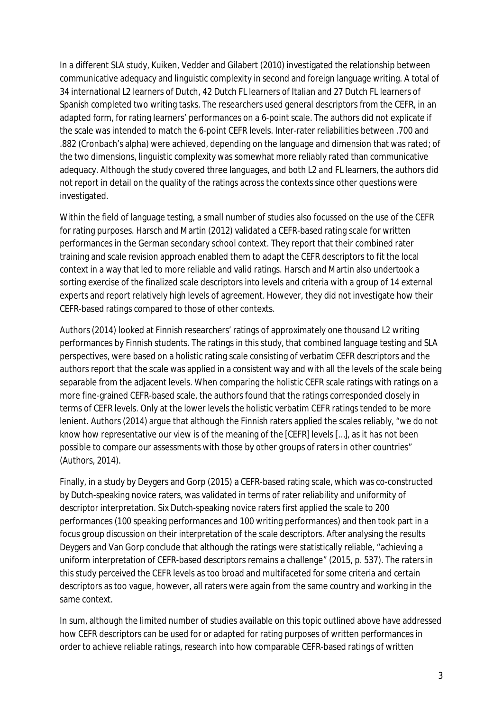In a different SLA study, Kuiken, Vedder and Gilabert (2010) investigated the relationship between communicative adequacy and linguistic complexity in second and foreign language writing. A total of 34 international L2 learners of Dutch, 42 Dutch FL learners of Italian and 27 Dutch FL learners of Spanish completed two writing tasks. The researchers used general descriptors from the CEFR, in an adapted form, for rating learners' performances on a 6-point scale. The authors did not explicate if the scale was intended to match the 6-point CEFR levels. Inter-rater reliabilities between .700 and .882 (Cronbach's alpha) were achieved, depending on the language and dimension that was rated; of the two dimensions, linguistic complexity was somewhat more reliably rated than communicative adequacy. Although the study covered three languages, and both L2 and FL learners, the authors did not report in detail on the quality of the ratings across the contexts since other questions were investigated.

Within the field of language testing, a small number of studies also focussed on the use of the CEFR for rating purposes. Harsch and Martin (2012) validated a CEFR-based rating scale for written performances in the German secondary school context. They report that their combined rater training and scale revision approach enabled them to adapt the CEFR descriptors to fit the local context in a way that led to more reliable and valid ratings. Harsch and Martin also undertook a sorting exercise of the finalized scale descriptors into levels and criteria with a group of 14 external experts and report relatively high levels of agreement. However, they did not investigate how their CEFR-based ratings compared to those of other contexts.

Authors (2014) looked at Finnish researchers' ratings of approximately one thousand L2 writing performances by Finnish students. The ratings in this study, that combined language testing and SLA perspectives, were based on a holistic rating scale consisting of verbatim CEFR descriptors and the authors report that the scale was applied in a consistent way and with all the levels of the scale being separable from the adjacent levels. When comparing the holistic CEFR scale ratings with ratings on a more fine-grained CEFR-based scale, the authors found that the ratings corresponded closely in terms of CEFR levels. Only at the lower levels the holistic verbatim CEFR ratings tended to be more lenient. Authors (2014) argue that although the Finnish raters applied the scales reliably, "we do not know how representative our view is of the meaning of the [CEFR] levels […], as it has not been possible to compare our assessments with those by other groups of raters in other countries" (Authors, 2014).

Finally, in a study by Deygers and Gorp (2015) a CEFR-based rating scale, which was co-constructed by Dutch-speaking novice raters, was validated in terms of rater reliability and uniformity of descriptor interpretation. Six Dutch-speaking novice raters first applied the scale to 200 performances (100 speaking performances and 100 writing performances) and then took part in a focus group discussion on their interpretation of the scale descriptors. After analysing the results Deygers and Van Gorp conclude that although the ratings were statistically reliable, "achieving a uniform interpretation of CEFR-based descriptors remains a challenge" (2015, p. 537). The raters in this study perceived the CEFR levels as too broad and multifaceted for some criteria and certain descriptors as too vague, however, all raters were again from the same country and working in the same context.

In sum, although the limited number of studies available on this topic outlined above have addressed how CEFR descriptors can be used for or adapted for rating purposes of written performances in order to achieve reliable ratings, research into how comparable CEFR-based ratings of written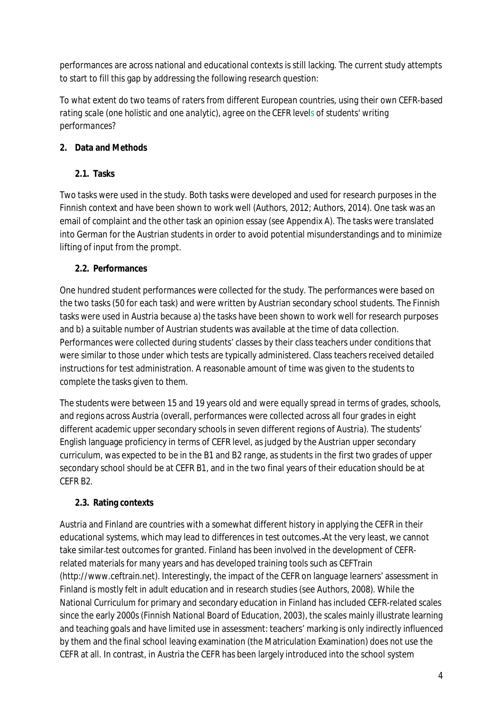performances are across national and educational contexts is still lacking. The current study attempts to start to fill this gap by addressing the following research question:

*To what extent do two teams of raters from different European countries, using their own CEFR-based rating scale (one holistic and one analytic), agree on the CEFR levels of students' writing performances?*

## **2. Data and Methods**

**2.1. Tasks**

Two tasks were used in the study. Both tasks were developed and used for research purposes in the Finnish context and have been shown to work well (Authors, 2012; Authors, 2014). One task was an email of complaint and the other task an opinion essay (see Appendix A). The tasks were translated into German for the Austrian students in order to avoid potential misunderstandings and to minimize lifting of input from the prompt.

## **2.2. Performances**

One hundred student performances were collected for the study. The performances were based on the two tasks (50 for each task) and were written by Austrian secondary school students. The Finnish tasks were used in Austria because a) the tasks have been shown to work well for research purposes and b) a suitable number of Austrian students was available at the time of data collection. Performances were collected during students' classes by their class teachers under conditions that were similar to those under which tests are typically administered. Class teachers received detailed instructions for test administration. A reasonable amount of time was given to the students to complete the tasks given to them.

The students were between 15 and 19 years old and were equally spread in terms of grades, schools, and regions across Austria (overall, performances were collected across all four grades in eight different academic upper secondary schools in seven different regions of Austria). The students' English language proficiency in terms of CEFR level, as judged by the Austrian upper secondary curriculum, was expected to be in the B1 and B2 range, as students in the first two grades of upper secondary school should be at CEFR B1, and in the two final years of their education should be at CEFR B2.

## **2.3. Rating contexts**

Austria and Finland are countries with a somewhat different history in applying the CEFR in their educational systems, which may lead to differences in test outcomes. At the very least, we cannot take similar test outcomes for granted. Finland has been involved in the development of CEFRrelated materials for many years and has developed training tools such as CEFTrain (http://www.ceftrain.net). Interestingly, the impact of the CEFR on language learners' assessment in Finland is mostly felt in adult education and in research studies (see Authors, 2008). While the National Curriculum for primary and secondary education in Finland has included CEFR-related scales since the early 2000s (Finnish National Board of Education, 2003), the scales mainly illustrate learning and teaching goals and have limited use in assessment: teachers' marking is only indirectly influenced by them and the final school leaving examination (the Matriculation Examination) does not use the CEFR at all. In contrast, in Austria the CEFR has been largely introduced into the school system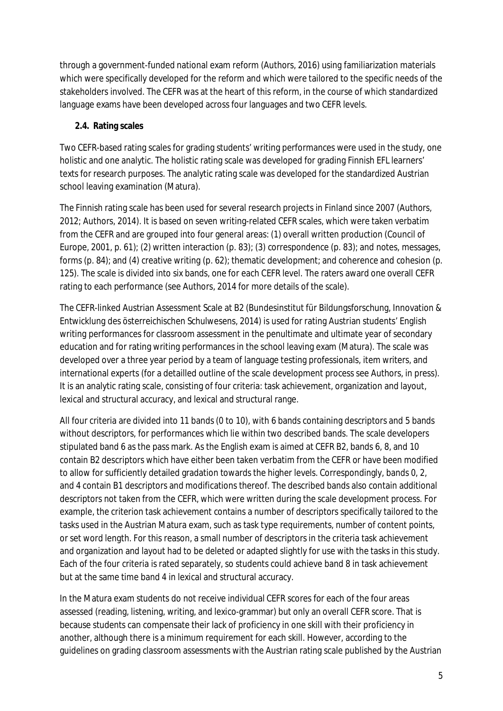through a government-funded national exam reform (Authors, 2016) using familiarization materials which were specifically developed for the reform and which were tailored to the specific needs of the stakeholders involved. The CEFR was at the heart of this reform, in the course of which standardized language exams have been developed across four languages and two CEFR levels.

### **2.4. Rating scales**

Two CEFR-based rating scales for grading students' writing performances were used in the study, one holistic and one analytic. The holistic rating scale was developed for grading Finnish EFL learners' texts for research purposes. The analytic rating scale was developed for the standardized Austrian school leaving examination (Matura).

The Finnish rating scale has been used for several research projects in Finland since 2007 (Authors, 2012; Authors, 2014). It is based on seven writing-related CEFR scales, which were taken verbatim from the CEFR and are grouped into four general areas: (1) overall written production (Council of Europe, 2001, p. 61); (2) written interaction (p. 83); (3) correspondence (p. 83); and notes, messages, forms (p. 84); and (4) creative writing (p. 62); thematic development; and coherence and cohesion (p. 125). The scale is divided into six bands, one for each CEFR level. The raters award one overall CEFR rating to each performance (see Authors, 2014 for more details of the scale).

The CEFR-linked Austrian Assessment Scale at B2 (Bundesinstitut für Bildungsforschung, Innovation & Entwicklung des österreichischen Schulwesens, 2014) is used for rating Austrian students' English writing performances for classroom assessment in the penultimate and ultimate year of secondary education and for rating writing performances in the school leaving exam (Matura). The scale was developed over a three year period by a team of language testing professionals, item writers, and international experts (for a detailled outline of the scale development process see Authors, in press). It is an analytic rating scale, consisting of four criteria: task achievement, organization and layout, lexical and structural accuracy, and lexical and structural range.

All four criteria are divided into 11 bands (0 to 10), with 6 bands containing descriptors and 5 bands without descriptors, for performances which lie within two described bands. The scale developers stipulated band 6 as the pass mark. As the English exam is aimed at CEFR B2, bands 6, 8, and 10 contain B2 descriptors which have either been taken verbatim from the CEFR or have been modified to allow for sufficiently detailed gradation towards the higher levels. Correspondingly, bands 0, 2, and 4 contain B1 descriptors and modifications thereof. The described bands also contain additional descriptors not taken from the CEFR, which were written during the scale development process. For example, the criterion task achievement contains a number of descriptors specifically tailored to the tasks used in the Austrian Matura exam, such as task type requirements, number of content points, or set word length. For this reason, a small number of descriptors in the criteria task achievement and organization and layout had to be deleted or adapted slightly for use with the tasks in this study. Each of the four criteria is rated separately, so students could achieve band 8 in task achievement but at the same time band 4 in lexical and structural accuracy.

In the Matura exam students do not receive individual CEFR scores for each of the four areas assessed (reading, listening, writing, and lexico-grammar) but only an overall CEFR score. That is because students can compensate their lack of proficiency in one skill with their proficiency in another, although there is a minimum requirement for each skill. However, according to the guidelines on grading classroom assessments with the Austrian rating scale published by the Austrian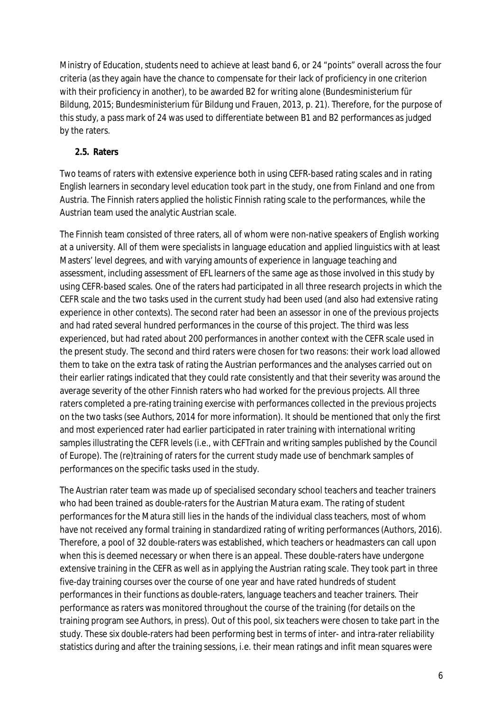Ministry of Education, students need to achieve at least band 6, or 24 "points" overall across the four criteria (as they again have the chance to compensate for their lack of proficiency in one criterion with their proficiency in another), to be awarded B2 for writing alone (Bundesministerium für Bildung, 2015; Bundesministerium für Bildung und Frauen, 2013, p. 21). Therefore, for the purpose of this study, a pass mark of 24 was used to differentiate between B1 and B2 performances as judged by the raters.

#### **2.5. Raters**

Two teams of raters with extensive experience both in using CEFR-based rating scales and in rating English learners in secondary level education took part in the study, one from Finland and one from Austria. The Finnish raters applied the holistic Finnish rating scale to the performances, while the Austrian team used the analytic Austrian scale.

The Finnish team consisted of three raters, all of whom were non-native speakers of English working at a university. All of them were specialists in language education and applied linguistics with at least Masters' level degrees, and with varying amounts of experience in language teaching and assessment, including assessment of EFL learners of the same age as those involved in this study by using CEFR-based scales. One of the raters had participated in all three research projects in which the CEFR scale and the two tasks used in the current study had been used (and also had extensive rating experience in other contexts). The second rater had been an assessor in one of the previous projects and had rated several hundred performances in the course of this project. The third was less experienced, but had rated about 200 performances in another context with the CEFR scale used in the present study. The second and third raters were chosen for two reasons: their work load allowed them to take on the extra task of rating the Austrian performances and the analyses carried out on their earlier ratings indicated that they could rate consistently and that their severity was around the average severity of the other Finnish raters who had worked for the previous projects. All three raters completed a pre-rating training exercise with performances collected in the previous projects on the two tasks (see Authors, 2014 for more information). It should be mentioned that only the first and most experienced rater had earlier participated in rater training with international writing samples illustrating the CEFR levels (i.e., with CEFTrain and writing samples published by the Council of Europe). The (re)training of raters for the current study made use of benchmark samples of performances on the specific tasks used in the study.

The Austrian rater team was made up of specialised secondary school teachers and teacher trainers who had been trained as double-raters for the Austrian Matura exam. The rating of student performances for the Matura still lies in the hands of the individual class teachers, most of whom have not received any formal training in standardized rating of writing performances (Authors, 2016). Therefore, a pool of 32 double-raters was established, which teachers or headmasters can call upon when this is deemed necessary or when there is an appeal. These double-raters have undergone extensive training in the CEFR as well as in applying the Austrian rating scale. They took part in three five-day training courses over the course of one year and have rated hundreds of student performances in their functions as double-raters, language teachers and teacher trainers. Their performance as raters was monitored throughout the course of the training (for details on the training program see Authors, in press). Out of this pool, six teachers were chosen to take part in the study. These six double-raters had been performing best in terms of inter- and intra-rater reliability statistics during and after the training sessions, i.e. their mean ratings and infit mean squares were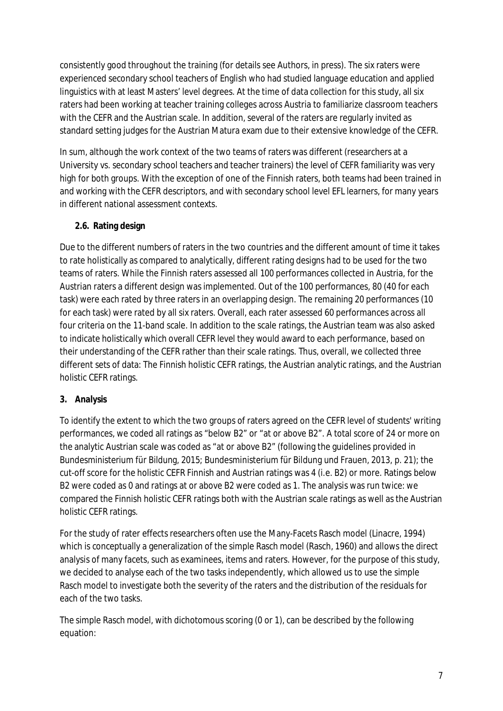consistently good throughout the training (for details see Authors, in press). The six raters were experienced secondary school teachers of English who had studied language education and applied linguistics with at least Masters' level degrees. At the time of data collection for this study, all six raters had been working at teacher training colleges across Austria to familiarize classroom teachers with the CEFR and the Austrian scale. In addition, several of the raters are regularly invited as standard setting judges for the Austrian Matura exam due to their extensive knowledge of the CEFR.

In sum, although the work context of the two teams of raters was different (researchers at a University vs. secondary school teachers and teacher trainers) the level of CEFR familiarity was very high for both groups. With the exception of one of the Finnish raters, both teams had been trained in and working with the CEFR descriptors, and with secondary school level EFL learners, for many years in different national assessment contexts.

## **2.6. Rating design**

Due to the different numbers of raters in the two countries and the different amount of time it takes to rate holistically as compared to analytically, different rating designs had to be used for the two teams of raters. While the Finnish raters assessed all 100 performances collected in Austria, for the Austrian raters a different design was implemented. Out of the 100 performances, 80 (40 for each task) were each rated by three raters in an overlapping design. The remaining 20 performances (10 for each task) were rated by all six raters. Overall, each rater assessed 60 performances across all four criteria on the 11-band scale. In addition to the scale ratings, the Austrian team was also asked to indicate holistically which overall CEFR level they would award to each performance, based on their understanding of the CEFR rather than their scale ratings. Thus, overall, we collected three different sets of data: The Finnish holistic CEFR ratings, the Austrian analytic ratings, and the Austrian holistic CEFR ratings.

## **3. Analysis**

To identify the extent to which the two groups of raters agreed on the CEFR level of students' writing performances, we coded all ratings as "below B2" or "at or above B2". A total score of 24 or more on the analytic Austrian scale was coded as "at or above B2" (following the guidelines provided in Bundesministerium für Bildung, 2015; Bundesministerium für Bildung und Frauen, 2013, p. 21); the cut-off score for the holistic CEFR Finnish and Austrian ratings was 4 (i.e. B2) or more. Ratings below B2 were coded as 0 and ratings at or above B2 were coded as 1. The analysis was run twice: we compared the Finnish holistic CEFR ratings both with the Austrian scale ratings as well as the Austrian holistic CEFR ratings.

For the study of rater effects researchers often use the Many-Facets Rasch model (Linacre, 1994) which is conceptually a generalization of the simple Rasch model (Rasch, 1960) and allows the direct analysis of many facets, such as examinees, items and raters. However, for the purpose of this study, we decided to analyse each of the two tasks independently, which allowed us to use the simple Rasch model to investigate both the severity of the raters and the distribution of the residuals for each of the two tasks.

The simple Rasch model, with dichotomous scoring (0 or 1), can be described by the following equation: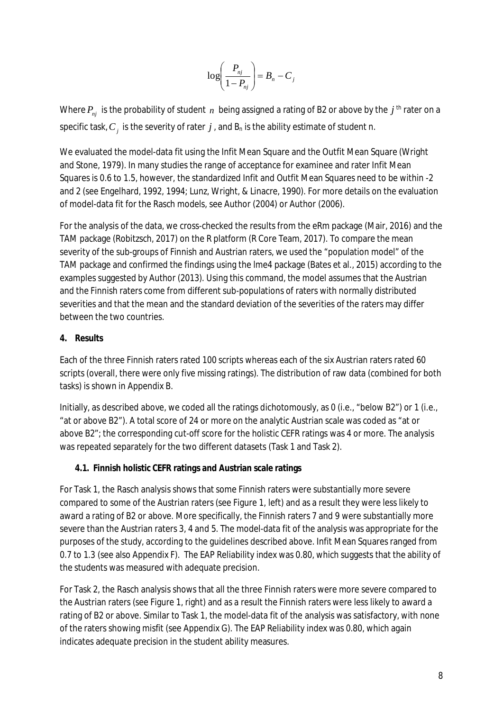$$
\log\left(\frac{P_{nj}}{1-P_{nj}}\right) = B_n - C_j
$$

Where  $P_{\scriptscriptstyle{nj}}$  is the probability of student  $\,n\,$  being assigned a rating of B2 or above by the  $\,j\,$  <sup>th</sup> rater on a specific task,  $C_{_j}$  is the severity of rater  $j$  , and  $\mathsf{B}_\mathsf{n}$  is the ability estimate of student  $\mathsf{n}.$ 

We evaluated the model-data fit using the Infit Mean Square and the Outfit Mean Square (Wright and Stone, 1979). In many studies the range of acceptance for examinee and rater Infit Mean Squares is 0.6 to 1.5, however, the standardized Infit and Outfit Mean Squares need to be within -2 and 2 (see Engelhard, 1992, 1994; Lunz, Wright, & Linacre, 1990). For more details on the evaluation of model-data fit for the Rasch models, see Author (2004) or Author (2006).

For the analysis of the data, we cross-checked the results from the eRm package (Mair, 2016) and the TAM package (Robitzsch, 2017) on the R platform (R Core Team, 2017). To compare the mean severity of the sub-groups of Finnish and Austrian raters, we used the "population model" of the TAM package and confirmed the findings using the lme4 package (Bates et al., 2015) according to the examples suggested by Author (2013). Using this command, the model assumes that the Austrian and the Finnish raters come from different sub-populations of raters with normally distributed severities and that the mean and the standard deviation of the severities of the raters may differ between the two countries.

#### **4. Results**

Each of the three Finnish raters rated 100 scripts whereas each of the six Austrian raters rated 60 scripts (overall, there were only five missing ratings). The distribution of raw data (combined for both tasks) is shown in Appendix B.

Initially, as described above, we coded all the ratings dichotomously, as 0 (i.e., "below B2") or 1 (i.e., "at or above B2"). A total score of 24 or more on the analytic Austrian scale was coded as "at or above B2"; the corresponding cut-off score for the holistic CEFR ratings was 4 or more. The analysis was repeated separately for the two different datasets (Task 1 and Task 2).

**4.1. Finnish holistic CEFR ratings and Austrian scale ratings**

For Task 1, the Rasch analysis shows that some Finnish raters were substantially more severe compared to some of the Austrian raters (see Figure 1, left) and as a result they were less likely to award a rating of B2 or above. More specifically, the Finnish raters 7 and 9 were substantially more severe than the Austrian raters 3, 4 and 5. The model-data fit of the analysis was appropriate for the purposes of the study, according to the guidelines described above. Infit Mean Squares ranged from 0.7 to 1.3 (see also Appendix F). The EAP Reliability index was 0.80, which suggests that the ability of the students was measured with adequate precision.

For Task 2, the Rasch analysis shows that all the three Finnish raters were more severe compared to the Austrian raters (see Figure 1, right) and as a result the Finnish raters were less likely to award a rating of B2 or above. Similar to Task 1, the model-data fit of the analysis was satisfactory, with none of the raters showing misfit (see Appendix G). The EAP Reliability index was 0.80, which again indicates adequate precision in the student ability measures.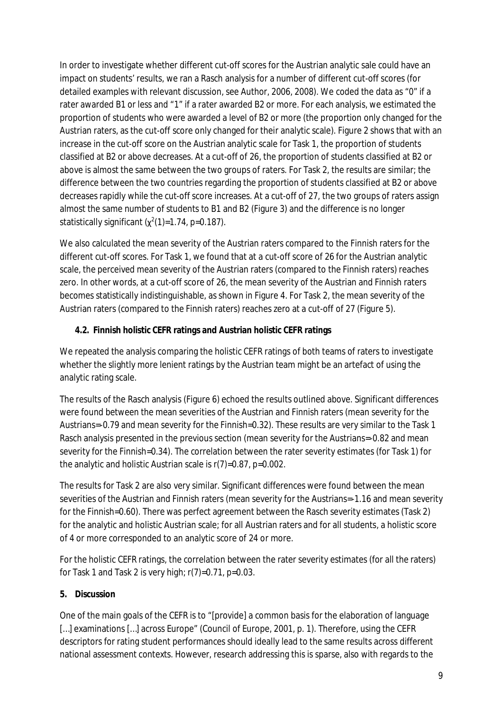In order to investigate whether different cut-off scores for the Austrian analytic sale could have an impact on students' results, we ran a Rasch analysis for a number of different cut-off scores (for detailed examples with relevant discussion, see Author, 2006, 2008). We coded the data as "0" if a rater awarded B1 or less and "1" if a rater awarded B2 or more. For each analysis, we estimated the proportion of students who were awarded a level of B2 or more (the proportion only changed for the Austrian raters, as the cut-off score only changed for their analytic scale). Figure 2 shows that with an increase in the cut-off score on the Austrian analytic scale for Task 1, the proportion of students classified at B2 or above decreases. At a cut-off of 26, the proportion of students classified at B2 or above is almost the same between the two groups of raters. For Task 2, the results are similar; the difference between the two countries regarding the proportion of students classified at B2 or above decreases rapidly while the cut-off score increases. At a cut-off of 27, the two groups of raters assign almost the same number of students to B1 and B2 (Figure 3) and the difference is no longer statistically significant ( $\chi^2$ (1)=1.74, p=0.187).

We also calculated the mean severity of the Austrian raters compared to the Finnish raters for the different cut-off scores. For Task 1, we found that at a cut-off score of 26 for the Austrian analytic scale, the perceived mean severity of the Austrian raters (compared to the Finnish raters) reaches zero. In other words, at a cut-off score of 26, the mean severity of the Austrian and Finnish raters becomes statistically indistinguishable, as shown in Figure 4. For Task 2, the mean severity of the Austrian raters (compared to the Finnish raters) reaches zero at a cut-off of 27 (Figure 5).

**4.2. Finnish holistic CEFR ratings and Austrian holistic CEFR ratings**

We repeated the analysis comparing the holistic CEFR ratings of both teams of raters to investigate whether the slightly more lenient ratings by the Austrian team might be an artefact of using the analytic rating scale.

The results of the Rasch analysis (Figure 6) echoed the results outlined above. Significant differences were found between the mean severities of the Austrian and Finnish raters (mean severity for the Austrians=-0.79 and mean severity for the Finnish=0.32). These results are very similar to the Task 1 Rasch analysis presented in the previous section (mean severity for the Austrians=-0.82 and mean severity for the Finnish=0.34). The correlation between the rater severity estimates (for Task 1) for the analytic and holistic Austrian scale is r(7)=0.87, p=0.002.

The results for Task 2 are also very similar. Significant differences were found between the mean severities of the Austrian and Finnish raters (mean severity for the Austrians=-1.16 and mean severity for the Finnish=0.60). There was perfect agreement between the Rasch severity estimates (Task 2) for the analytic and holistic Austrian scale; for all Austrian raters and for all students, a holistic score of 4 or more corresponded to an analytic score of 24 or more.

For the holistic CEFR ratings, the correlation between the rater severity estimates (for all the raters) for Task 1 and Task 2 is very high;  $r(7)=0.71$ ,  $p=0.03$ .

## **5. Discussion**

One of the main goals of the CEFR is to "[provide] a common basis for the elaboration of language [...] examinations [...] across Europe" (Council of Europe, 2001, p. 1). Therefore, using the CEFR descriptors for rating student performances should ideally lead to the same results across different national assessment contexts. However, research addressing this is sparse, also with regards to the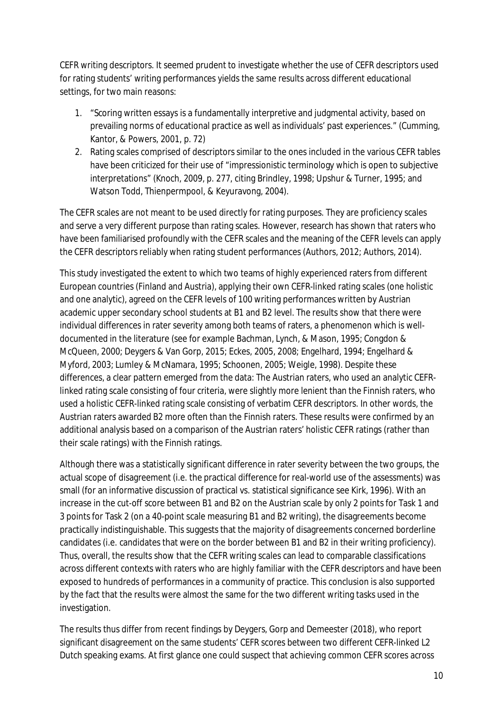CEFR writing descriptors. It seemed prudent to investigate whether the use of CEFR descriptors used for rating students' writing performances yields the same results across different educational settings, for two main reasons:

- 1. "Scoring written essays is a fundamentally interpretive and judgmental activity, based on prevailing norms of educational practice as well as individuals' past experiences." (Cumming, Kantor, & Powers, 2001, p. 72)
- 2. Rating scales comprised of descriptors similar to the ones included in the various CEFR tables have been criticized for their use of "impressionistic terminology which is open to subjective interpretations" (Knoch, 2009, p. 277, citing Brindley, 1998; Upshur & Turner, 1995; and Watson Todd, Thienpermpool, & Keyuravong, 2004).

The CEFR scales are not meant to be used directly for rating purposes. They are proficiency scales and serve a very different purpose than rating scales. However, research has shown that raters who have been familiarised profoundly with the CEFR scales and the meaning of the CEFR levels can apply the CEFR descriptors reliably when rating student performances (Authors, 2012; Authors, 2014).

This study investigated the extent to which two teams of highly experienced raters from different European countries (Finland and Austria), applying their own CEFR-linked rating scales (one holistic and one analytic), agreed on the CEFR levels of 100 writing performances written by Austrian academic upper secondary school students at B1 and B2 level. The results show that there were individual differences in rater severity among both teams of raters, a phenomenon which is welldocumented in the literature (see for example Bachman, Lynch, & Mason, 1995; Congdon & McQueen, 2000; Deygers & Van Gorp, 2015; Eckes, 2005, 2008; Engelhard, 1994; Engelhard & Myford, 2003; Lumley & McNamara, 1995; Schoonen, 2005; Weigle, 1998). Despite these differences, a clear pattern emerged from the data: The Austrian raters, who used an analytic CEFRlinked rating scale consisting of four criteria, were slightly more lenient than the Finnish raters, who used a holistic CEFR-linked rating scale consisting of verbatim CEFR descriptors. In other words, the Austrian raters awarded B2 more often than the Finnish raters. These results were confirmed by an additional analysis based on a comparison of the Austrian raters' holistic CEFR ratings (rather than their scale ratings) with the Finnish ratings.

Although there was a statistically significant difference in rater severity between the two groups, the actual scope of disagreement (i.e. the practical difference for real-world use of the assessments) was small (for an informative discussion of practical vs. statistical significance see Kirk, 1996). With an increase in the cut-off score between B1 and B2 on the Austrian scale by only 2 points for Task 1 and 3 points for Task 2 (on a 40-point scale measuring B1 and B2 writing), the disagreements become practically indistinguishable. This suggests that the majority of disagreements concerned borderline candidates (i.e. candidates that were on the border between B1 and B2 in their writing proficiency). Thus, overall, the results show that the CEFR writing scales can lead to comparable classifications across different contexts with raters who are highly familiar with the CEFR descriptors and have been exposed to hundreds of performances in a community of practice. This conclusion is also supported by the fact that the results were almost the same for the two different writing tasks used in the investigation.

The results thus differ from recent findings by Deygers, Gorp and Demeester (2018), who report significant disagreement on the same students' CEFR scores between two different CEFR-linked L2 Dutch speaking exams. At first glance one could suspect that achieving common CEFR scores across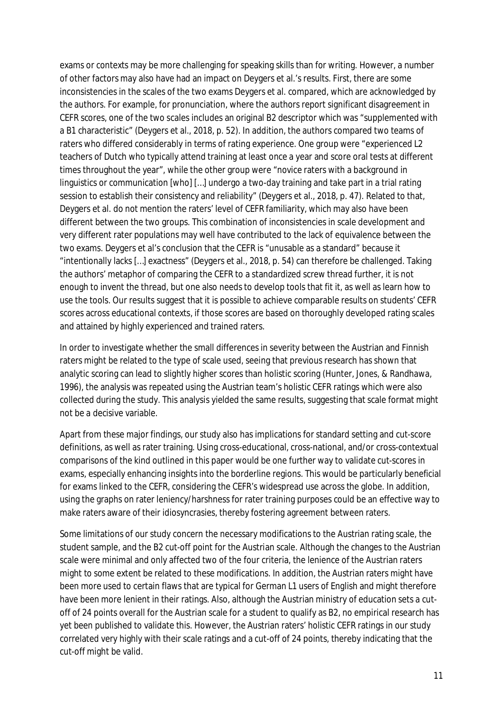exams or contexts may be more challenging for speaking skills than for writing. However, a number of other factors may also have had an impact on Deygers et al.'s results. First, there are some inconsistencies in the scales of the two exams Deygers et al. compared, which are acknowledged by the authors. For example, for pronunciation, where the authors report significant disagreement in CEFR scores, one of the two scales includes an original B2 descriptor which was "supplemented with a B1 characteristic" (Deygers et al., 2018, p. 52). In addition, the authors compared two teams of raters who differed considerably in terms of rating experience. One group were "experienced L2 teachers of Dutch who typically attend training at least once a year and score oral tests at different times throughout the year", while the other group were "novice raters with a background in linguistics or communication [who] […] undergo a two-day training and take part in a trial rating session to establish their consistency and reliability" (Deygers et al., 2018, p. 47). Related to that, Deygers et al. do not mention the raters' level of CEFR familiarity, which may also have been different between the two groups. This combination of inconsistencies in scale development and very different rater populations may well have contributed to the lack of equivalence between the two exams. Deygers et al's conclusion that the CEFR is "unusable as a standard" because it "intentionally lacks […] exactness" (Deygers et al., 2018, p. 54) can therefore be challenged. Taking the authors' metaphor of comparing the CEFR to a standardized screw thread further, it is not enough to invent the thread, but one also needs to develop tools that fit it, as well as learn how to use the tools. Our results suggest that it is possible to achieve comparable results on students' CEFR scores across educational contexts, if those scores are based on thoroughly developed rating scales and attained by highly experienced and trained raters.

In order to investigate whether the small differences in severity between the Austrian and Finnish raters might be related to the type of scale used, seeing that previous research has shown that analytic scoring can lead to slightly higher scores than holistic scoring (Hunter, Jones, & Randhawa, 1996), the analysis was repeated using the Austrian team's holistic CEFR ratings which were also collected during the study. This analysis yielded the same results, suggesting that scale format might not be a decisive variable.

Apart from these major findings, our study also has implications for standard setting and cut-score definitions, as well as rater training. Using cross-educational, cross-national, and/or cross-contextual comparisons of the kind outlined in this paper would be one further way to validate cut-scores in exams, especially enhancing insights into the borderline regions. This would be particularly beneficial for exams linked to the CEFR, considering the CEFR's widespread use across the globe. In addition, using the graphs on rater leniency/harshness for rater training purposes could be an effective way to make raters aware of their idiosyncrasies, thereby fostering agreement between raters.

Some limitations of our study concern the necessary modifications to the Austrian rating scale, the student sample, and the B2 cut-off point for the Austrian scale. Although the changes to the Austrian scale were minimal and only affected two of the four criteria, the lenience of the Austrian raters might to some extent be related to these modifications. In addition, the Austrian raters might have been more used to certain flaws that are typical for German L1 users of English and might therefore have been more lenient in their ratings. Also, although the Austrian ministry of education sets a cutoff of 24 points overall for the Austrian scale for a student to qualify as B2, no empirical research has yet been published to validate this. However, the Austrian raters' holistic CEFR ratings in our study correlated very highly with their scale ratings and a cut-off of 24 points, thereby indicating that the cut-off might be valid.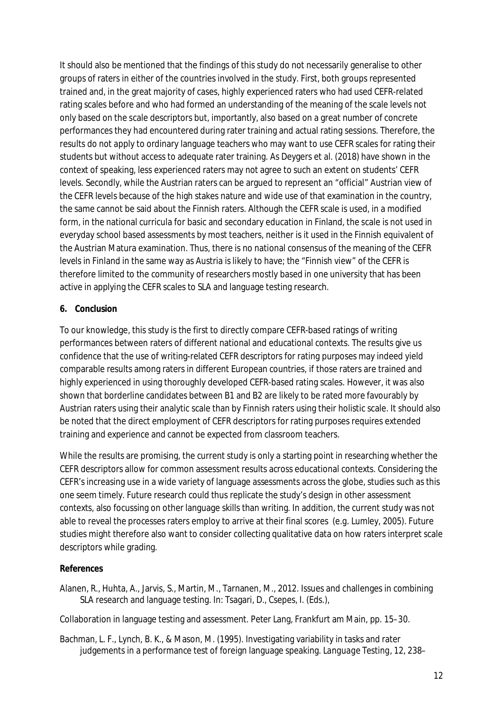It should also be mentioned that the findings of this study do not necessarily generalise to other groups of raters in either of the countries involved in the study. First, both groups represented trained and, in the great majority of cases, highly experienced raters who had used CEFR-related rating scales before and who had formed an understanding of the meaning of the scale levels not only based on the scale descriptors but, importantly, also based on a great number of concrete performances they had encountered during rater training and actual rating sessions. Therefore, the results do not apply to ordinary language teachers who may want to use CEFR scales for rating their students but without access to adequate rater training. As Deygers et al. (2018) have shown in the context of speaking, less experienced raters may not agree to such an extent on students' CEFR levels. Secondly, while the Austrian raters can be argued to represent an "official" Austrian view of the CEFR levels because of the high stakes nature and wide use of that examination in the country, the same cannot be said about the Finnish raters. Although the CEFR scale is used, in a modified form, in the national curricula for basic and secondary education in Finland, the scale is not used in everyday school based assessments by most teachers, neither is it used in the Finnish equivalent of the Austrian Matura examination. Thus, there is no national consensus of the meaning of the CEFR levels in Finland in the same way as Austria is likely to have; the "Finnish view" of the CEFR is therefore limited to the community of researchers mostly based in one university that has been active in applying the CEFR scales to SLA and language testing research.

#### **6. Conclusion**

To our knowledge, this study is the first to directly compare CEFR-based ratings of writing performances between raters of different national and educational contexts. The results give us confidence that the use of writing-related CEFR descriptors for rating purposes may indeed yield comparable results among raters in different European countries, if those raters are trained and highly experienced in using thoroughly developed CEFR-based rating scales. However, it was also shown that borderline candidates between B1 and B2 are likely to be rated more favourably by Austrian raters using their analytic scale than by Finnish raters using their holistic scale. It should also be noted that the direct employment of CEFR descriptors for rating purposes requires extended training and experience and cannot be expected from classroom teachers.

While the results are promising, the current study is only a starting point in researching whether the CEFR descriptors allow for common assessment results across educational contexts. Considering the CEFR's increasing use in a wide variety of language assessments across the globe, studies such as this one seem timely. Future research could thus replicate the study's design in other assessment contexts, also focussing on other language skills than writing. In addition, the current study was not able to reveal the processes raters employ to arrive at their final scores (e.g. Lumley, 2005). Future studies might therefore also want to consider collecting qualitative data on how raters interpret scale descriptors while grading.

#### **References**

Alanen, R., Huhta, A., Jarvis, S., Martin, M., Tarnanen, M., 2012. Issues and challenges in combining SLA research and language testing. In: Tsagari, D., Csepes, I. (Eds.),

Collaboration in language testing and assessment. Peter Lang, Frankfurt am Main, pp. 15–30.

Bachman, L. F., Lynch, B. K., & Mason, M. (1995). Investigating variability in tasks and rater judgements in a performance test of foreign language speaking. *Language Testing*, *12*, 238–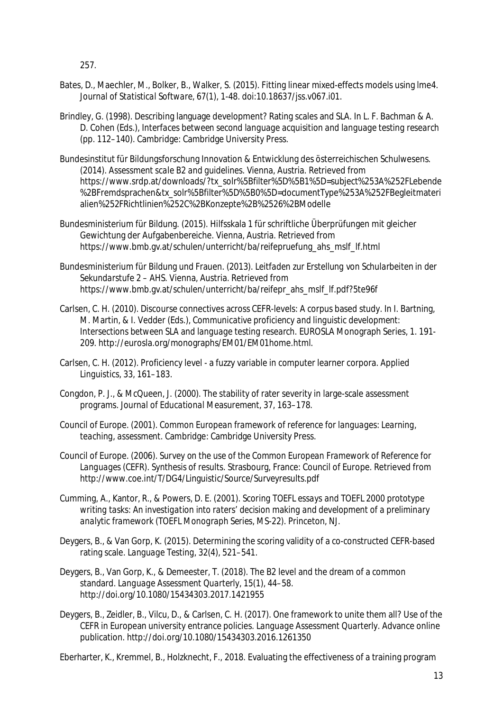257.

- Bates, D., Maechler, M., Bolker, B., Walker, S. (2015). Fitting linear mixed-effects models using lme4. *Journal of Statistical Software, 67*(1), 1-48. doi:10.18637/jss.v067.i01.
- Brindley, G. (1998). Describing language development? Rating scales and SLA. In L. F. Bachman & A. D. Cohen (Eds.), *Interfaces between second language acquisition and language testing research* (pp. 112–140). Cambridge: Cambridge University Press.
- Bundesinstitut für Bildungsforschung Innovation & Entwicklung des österreichischen Schulwesens. (2014). *Assessment scale B2 and guidelines*. Vienna, Austria. Retrieved from https://www.srdp.at/downloads/?tx\_solr%5Bfilter%5D%5B1%5D=subject%253A%252FLebende %2BFremdsprachen&tx\_solr%5Bfilter%5D%5B0%5D=documentType%253A%252FBegleitmateri alien%252FRichtlinien%252C%2BKonzepte%2B%2526%2BModelle
- Bundesministerium für Bildung. (2015). Hilfsskala 1 für schriftliche Überprüfungen mit gleicher Gewichtung der Aufgabenbereiche. Vienna, Austria. Retrieved from https://www.bmb.gv.at/schulen/unterricht/ba/reifepruefung\_ahs\_mslf\_lf.html
- Bundesministerium für Bildung und Frauen. (2013). *Leitfaden zur Erstellung von Schularbeiten in der Sekundarstufe 2 – AHS*. Vienna, Austria. Retrieved from https://www.bmb.gv.at/schulen/unterricht/ba/reifepr\_ahs\_mslf\_lf.pdf?5te96f
- Carlsen, C. H. (2010). Discourse connectives across CEFR-levels: A corpus based study. In I. Bartning, M. Martin, & I. Vedder (Eds.), *Communicative proficiency and linguistic development: Intersections between SLA and language testing research.* EUROSLA Monograph Series, 1. 191- 209. http://eurosla.org/monographs/EM01/EM01home.html.
- Carlsen, C. H. (2012). Proficiency level a fuzzy variable in computer learner corpora. *Applied Linguistics*, *33*, 161–183.
- Congdon, P. J., & McQueen, J. (2000). The stability of rater severity in large-scale assessment programs. *Journal of Educational Measurement*, *37*, 163–178.
- Council of Europe. (2001). *Common European framework of reference for languages: Learning, teaching, assessment*. Cambridge: Cambridge University Press.
- Council of Europe. (2006). *Survey on the use of the Common European Framework of Reference for Languages (CEFR). Synthesis of results.* Strasbourg, France: Council of Europe. Retrieved from http://www.coe.int/T/DG4/Linguistic/Source/Surveyresults.pdf
- Cumming, A., Kantor, R., & Powers, D. E. (2001). *Scoring TOEFL essays and TOEFL 2000 prototype writing tasks: An investigation into raters' decision making and development of a preliminary analytic framework (TOEFL Monograph Series, MS-22)*. Princeton, NJ.
- Deygers, B., & Van Gorp, K. (2015). Determining the scoring validity of a co-constructed CEFR-based rating scale. *Language Testing*, *32*(4), 521–541.
- Deygers, B., Van Gorp, K., & Demeester, T. (2018). The B2 level and the dream of a common standard. *Language Assessment Quarterly, 15*(1), 44–58. http://doi.org/10.1080/15434303.2017.1421955
- Deygers, B., Zeidler, B., Vilcu, D., & Carlsen, C. H. (2017). One framework to unite them all? Use of the CEFR in European university entrance policies. *Language Assessment Quarterly*. Advance online publication. http://doi.org/10.1080/15434303.2016.1261350
- Eberharter, K., Kremmel, B., Holzknecht, F., 2018. Evaluating the effectiveness of a training program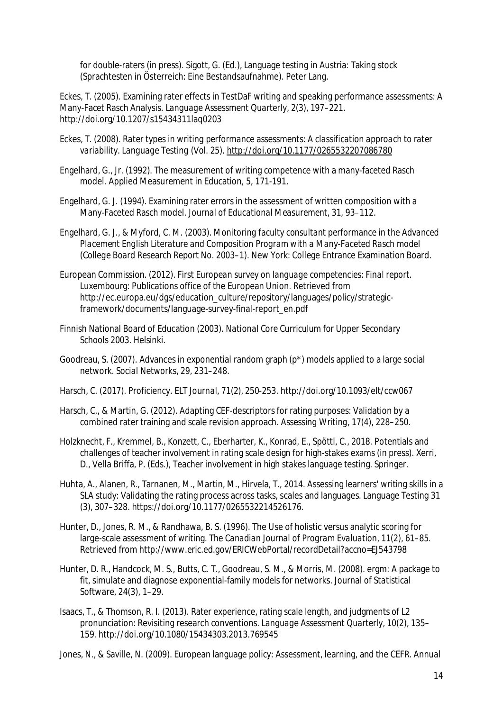for double-raters (in press). Sigott, G. (Ed.), Language testing in Austria: Taking stock (Sprachtesten in Österreich: Eine Bestandsaufnahme). Peter Lang.

Eckes, T. (2005). Examining rater effects in TestDaF writing and speaking performance assessments: A Many-Facet Rasch Analysis. *Language Assessment Quarterly*, *2*(3), 197–221. http://doi.org/10.1207/s15434311laq0203

- Eckes, T. (2008). *Rater types in writing performance assessments: A classification approach to rater variability*. *Language Testing* (Vol. 25).<http://doi.org/10.1177/0265532207086780>
- Engelhard, G., Jr. (1992). The measurement of writing competence with a many-faceted Rasch model. Applied Measurement in Education, 5, 171-191.
- Engelhard, G. J. (1994). Examining rater errors in the assessment of written composition with a Many-Faceted Rasch model. *Journal of Educational Measurement*, *31*, 93–112.
- Engelhard, G. J., & Myford, C. M. (2003). *Monitoring faculty consultant performance in the Advanced Placement English Literature and Composition Program with a Many-Faceted Rasch model (College Board Research Report No. 2003–1)*. New York: College Entrance Examination Board.
- European Commission. (2012). *First European survey on language competencies: Final report*. Luxembourg: Publications office of the European Union. Retrieved from http://ec.europa.eu/dgs/education\_culture/repository/languages/policy/strategicframework/documents/language-survey-final-report\_en.pdf
- Finnish National Board of Education (2003). *National Core Curriculum for Upper Secondary Schools 2003.* Helsinki.
- Goodreau, S. (2007). Advances in exponential random graph (p\*) models applied to a large social network. *Social Networks*, *29*, 231–248.
- Harsch, C. (2017). Proficiency. *ELT Journal*, 71(2), 250-253. http://doi.org/10.1093/elt/ccw067
- Harsch, C., & Martin, G. (2012). Adapting CEF-descriptors for rating purposes: Validation by a combined rater training and scale revision approach. *Assessing Writing*, *17*(4), 228–250.
- Holzknecht, F., Kremmel, B., Konzett, C., Eberharter, K., Konrad, E., Spöttl, C., 2018. Potentials and challenges of teacher involvement in rating scale design for high-stakes exams (in press). Xerri, D., Vella Briffa, P. (Eds.), Teacher involvement in high stakes language testing. Springer.
- Huhta, A., Alanen, R., Tarnanen, M., Martin, M., Hirvela, T., 2014. Assessing learners' writing skills in a SLA study: Validating the rating process across tasks, scales and languages. Language Testing 31 (3), 307–328. https://doi.org/10.1177/0265532214526176.
- Hunter, D., Jones, R. M., & Randhawa, B. S. (1996). The Use of holistic versus analytic scoring for large-scale assessment of writing. *The Canadian Journal of Program Evaluation*, *11*(2), 61–85. Retrieved from http://www.eric.ed.gov/ERICWebPortal/recordDetail?accno=EJ543798
- Hunter, D. R., Handcock, M. S., Butts, C. T., Goodreau, S. M., & Morris, M. (2008). ergm: A package to fit, simulate and diagnose exponential-family models for networks. *Journal of Statistical Software*, *24*(3), 1–29.
- Isaacs, T., & Thomson, R. I. (2013). Rater experience, rating scale length, and judgments of L2 pronunciation: Revisiting research conventions. *Language Assessment Quarterly*, *10*(2), 135– 159. http://doi.org/10.1080/15434303.2013.769545
- Jones, N., & Saville, N. (2009). European language policy: Assessment, learning, and the CEFR. *Annual*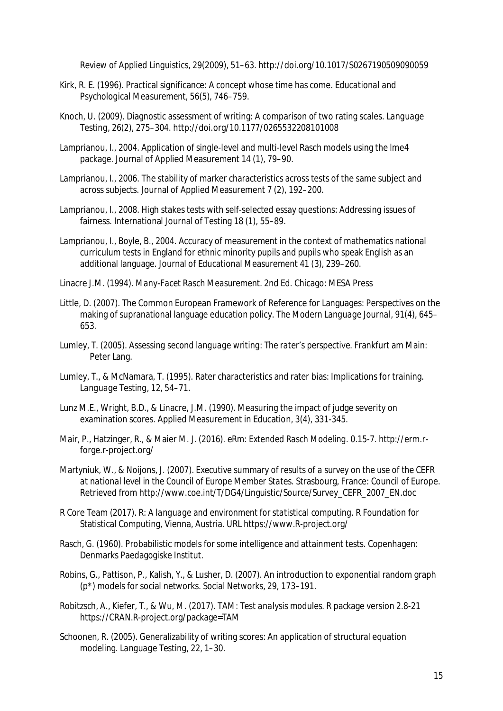*Review of Applied Linguistics*, *29*(2009), 51–63. http://doi.org/10.1017/S0267190509090059

- Kirk, R. E. (1996). Practical significance: A concept whose time has come. *Educational and Psychological Measurement*, *56*(5), 746–759.
- Knoch, U. (2009). Diagnostic assessment of writing: A comparison of two rating scales. *Language Testing*, *26*(2), 275–304.<http://doi.org/10.1177/0265532208101008>
- Lamprianou, I., 2004. Application of single-level and multi-level Rasch models using the lme4 package. Journal of Applied Measurement 14 (1), 79–90.
- Lamprianou, I., 2006. The stability of marker characteristics across tests of the same subject and across subjects. Journal of Applied Measurement 7 (2), 192–200.
- Lamprianou, I., 2008. High stakes tests with self-selected essay questions: Addressing issues of fairness. International Journal of Testing 18 (1), 55–89.
- Lamprianou, I., Boyle, B., 2004. Accuracy of measurement in the context of mathematics national curriculum tests in England for ethnic minority pupils and pupils who speak English as an additional language. Journal of Educational Measurement 41 (3), 239–260.

Linacre J.M. (1994). *Many-Facet Rasch Measurement*. 2nd Ed. Chicago: MESA Press

- Little, D. (2007). The Common European Framework of Reference for Languages: Perspectives on the making of supranational language education policy. *The Modern Language Journal*, *91*(4), 645– 653.
- Lumley, T. (2005). *Assessing second language writing: The rater's perspective*. Frankfurt am Main: Peter Lang.
- Lumley, T., & McNamara, T. (1995). Rater characteristics and rater bias: Implications for training. *Language Testing*, *12*, 54–71.
- Lunz M.E., Wright, B.D., & Linacre, J.M. (1990). Measuring the impact of judge severity on examination scores. Applied Measurement in Education, 3(4), 331-345.
- Mair, P., Hatzinger, R., & Maier M. J. (2016). *eRm: Extended Rasch Modeling*. 0.15-7. http://erm.rforge.r-project.org/
- Martyniuk, W., & Noijons, J. (2007). *Executive summary of results of a survey on the use of the CEFR at national level in the Council of Europe Member States*. Strasbourg, France: Council of Europe. Retrieved from [http://www.coe.int/T/DG4/Linguistic/Source/Survey\\_CEFR\\_2007\\_EN.doc](http://www.coe.int/T/DG4/Linguistic/Source/Survey_CEFR_2007_EN.doc)
- R Core Team (2017). *R: A language and environment for statistical computing*. R Foundation for Statistical Computing, Vienna, Austria. URL [https://www.R-project.org/](https://www.r-project.org/)
- Rasch, G. (1960). Probabilistic models for some intelligence and attainment tests. Copenhagen: Denmarks Paedagogiske Institut.
- Robins, G., Pattison, P., Kalish, Y., & Lusher, D. (2007). An introduction to exponential random graph (p\*) models for social networks. *Social Networks*, *29*, 173–191.
- Robitzsch, A., Kiefer, T., & Wu, M. (2017). *TAM: Test analysis modules*. R package version 2.8-21 https://CRAN.R-project.org/package=TAM
- Schoonen, R. (2005). Generalizability of writing scores: An application of structural equation modeling. *Language Testing*, *22*, 1–30.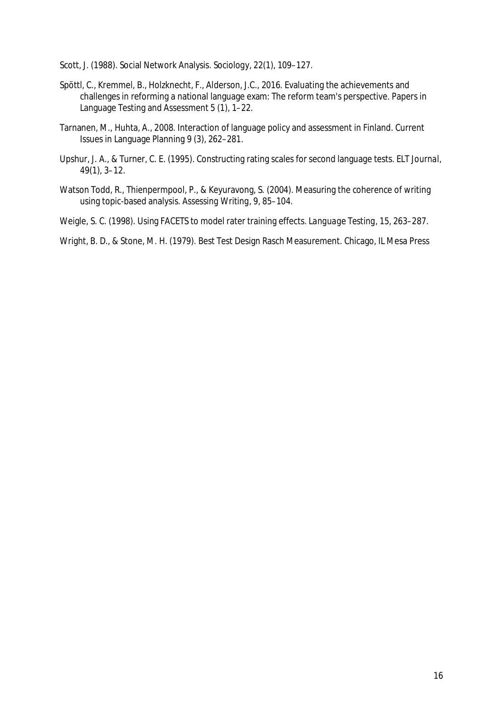Scott, J. (1988). Social Network Analysis. *Sociology*, *22*(1), 109–127.

- Spöttl, C., Kremmel, B., Holzknecht, F., Alderson, J.C., 2016. Evaluating the achievements and challenges in reforming a national language exam: The reform team's perspective. Papers in Language Testing and Assessment 5 (1), 1–22.
- Tarnanen, M., Huhta, A., 2008. Interaction of language policy and assessment in Finland. Current Issues in Language Planning 9 (3), 262–281.
- Upshur, J. A., & Turner, C. E. (1995). Constructing rating scales for second language tests. *ELT Journal*, *49*(1), 3–12.
- Watson Todd, R., Thienpermpool, P., & Keyuravong, S. (2004). Measuring the coherence of writing using topic-based analysis. *Assessing Writing*, *9*, 85–104.

Weigle, S. C. (1998). Using FACETS to model rater training effects. *Language Testing*, *15*, 263–287.

Wright, B. D., & Stone, M. H. (1979). Best Test Design Rasch Measurement. Chicago, IL Mesa Press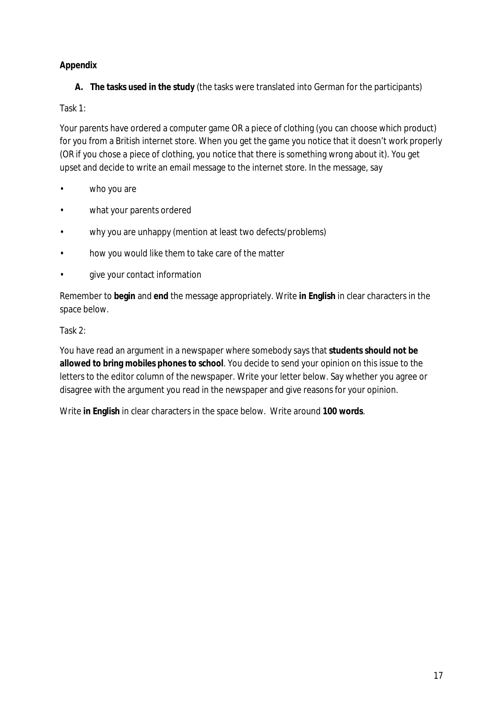## **Appendix**

**A. The tasks used in the study** (the tasks were translated into German for the participants)

## Task 1:

Your parents have ordered a computer game OR a piece of clothing (you can choose which product) for you from a British internet store. When you get the game you notice that it doesn't work properly (OR if you chose a piece of clothing, you notice that there is something wrong about it). You get upset and decide to write an email message to the internet store. In the message, say

- who you are
- what your parents ordered
- why you are unhappy (mention at least two defects/problems)
- how you would like them to take care of the matter
- give your contact information

Remember to **begin** and **end** the message appropriately. Write **in English** in clear characters in the space below.

#### Task 2:

You have read an argument in a newspaper where somebody says that **students should not be allowed to bring mobiles phones to school**. You decide to send your opinion on this issue to the letters to the editor column of the newspaper. Write your letter below. Say whether you agree or disagree with the argument you read in the newspaper and give reasons for your opinion.

Write **in English** in clear characters in the space below. Write around **100 words**.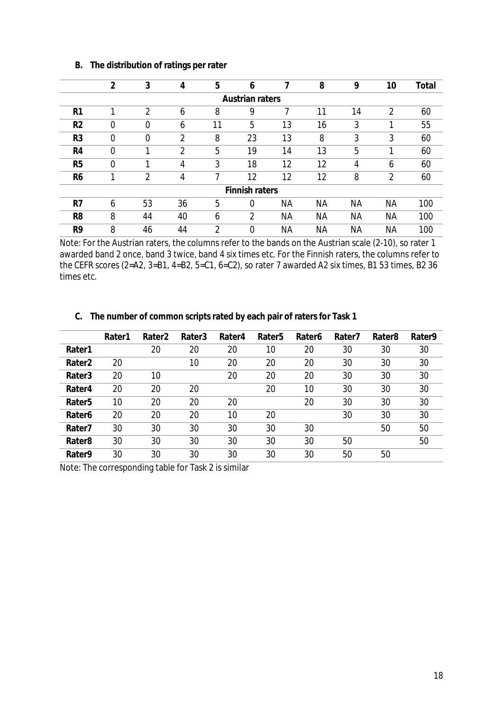|                 | $\overline{2}$ | 3              | 4  | 5  | 6                     |           | 8         | 9         | 10        | Total |
|-----------------|----------------|----------------|----|----|-----------------------|-----------|-----------|-----------|-----------|-------|
| Austrian raters |                |                |    |    |                       |           |           |           |           |       |
| R <sub>1</sub>  | ◀              | $\overline{2}$ | 6  | 8  | 9                     | 7         | 11        | 14        | 2         | 60    |
| R <sub>2</sub>  | $\Omega$       | 0              | 6  | 11 | 5                     | 13        | 16        | 3         | 1         | 55    |
| R3              | $\Omega$       | 0              | 2  | 8  | 23                    | 13        | 8         | 3         | 3         | 60    |
| R4              | 0              |                | っ  | 5  | 19                    | 14        | 13        | 5         |           | 60    |
| R <sub>5</sub>  | 0              | ◀              | 4  | 3  | 18                    | 12        | 12        | 4         | 6         | 60    |
| R6              | ⊣              | າ              | 4  |    | 12                    | 12        | 12        | 8         | 2         | 60    |
|                 |                |                |    |    | <b>Finnish raters</b> |           |           |           |           |       |
| R7              | 6              | 53             | 36 | 5  | 0                     | <b>NA</b> | <b>NA</b> | <b>NA</b> | <b>NA</b> | 100   |
| R <sub>8</sub>  | 8              | 44             | 40 | 6  | 2                     | ΝA        | ΝA        | <b>NA</b> | ΝA        | 100   |
| R9              | 8              | 46             | 44 | 2  | 0                     | ΝA        | ΝA        | <b>NA</b> | ΝA        | 100   |

#### **B. The distribution of ratings per rater**

Note: For the Austrian raters, the columns refer to the bands on the Austrian scale (2-10), so rater 1 awarded band 2 once, band 3 twice, band 4 six times etc. For the Finnish raters, the columns refer to the CEFR scores (2=A2, 3=B1, 4=B2, 5=C1, 6=C2), so rater 7 awarded A2 six times, B1 53 times, B2 36 times etc.

| <b>U. THE HUITIDE OF COMMON SCIPICS RACCO DY CACH DAIL OF RACCISTOR TASK T</b> |        |                    |        |        |                    |        |                    |                    |        |
|--------------------------------------------------------------------------------|--------|--------------------|--------|--------|--------------------|--------|--------------------|--------------------|--------|
|                                                                                | Rater1 | Rater <sub>2</sub> | Rater3 | Rater4 | Rater <sub>5</sub> | Rater6 | Rater <sub>7</sub> | Rater <sub>8</sub> | Rater9 |
| Rater1                                                                         |        | 20                 | 20     | 20     | 10                 | 20     | 30                 | 30                 | 30     |
| Rater <sub>2</sub>                                                             | 20     |                    | 10     | 20     | 20                 | 20     | 30                 | 30                 | 30     |
| Rater <sub>3</sub>                                                             | 20     | 10                 |        | 20     | 20                 | 20     | 30                 | 30                 | 30     |
| Rater4                                                                         | 20     | 20                 | 20     |        | 20                 | 10     | 30                 | 30                 | 30     |
| Rater <sub>5</sub>                                                             | 10     |                    | 20     | 20     |                    | 20     | 30                 | 30                 | 30     |

**Rater9** 30 30 30 30 30 30 50 50

**Rater6** 20 20 20 10 20 30 30 30 **Rater7** 30 30 30 30 30 30 50 50 **Rater8** 30 30 30 30 30 30 50 50

**C. The number of common scripts rated by each pair of raters for Task 1**

Note: The corresponding table for Task 2 is similar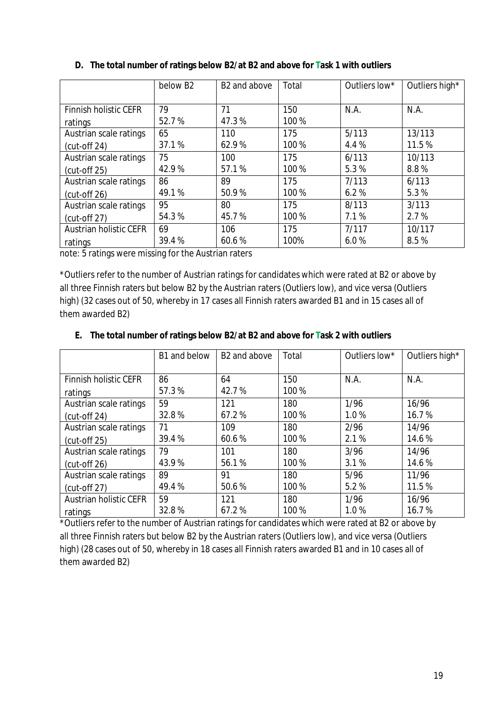|                               | below B <sub>2</sub> | B <sub>2</sub> and above | Total | Outliers low* | Outliers high* |
|-------------------------------|----------------------|--------------------------|-------|---------------|----------------|
|                               |                      |                          |       |               |                |
| <b>Finnish holistic CEFR</b>  | 79                   | 71                       | 150   | N.A.          | N.A.           |
| ratings                       | 52.7%                | 47.3%                    | 100 % |               |                |
| Austrian scale ratings        | 65                   | 110                      | 175   | 5/113         | 13/113         |
| $(cut-off 24)$                | 37.1%                | 62.9%                    | 100%  | 4.4 %         | 11.5%          |
| Austrian scale ratings        | 75                   | 100                      | 175   | 6/113         | 10/113         |
| $(cut-off 25)$                | 42.9%                | 57.1%                    | 100 % | 5.3%          | 8.8%           |
| Austrian scale ratings        | 86                   | 89                       | 175   | 7/113         | 6/113          |
| (cut-off 26)                  | 49.1%                | 50.9%                    | 100 % | 6.2%          | 5.3%           |
| Austrian scale ratings        | 95                   | 80                       | 175   | 8/113         | 3/113          |
| (cut-off 27)                  | 54.3%                | 45.7%                    | 100 % | 7.1%          | 2.7%           |
| <b>Austrian holistic CEFR</b> | 69                   | 106                      | 175   | 7/117         | 10/117         |
| ratings                       | 39.4%                | 60.6%                    | 100%  | 6.0%          | 8.5%           |

**D. The total number of ratings below B2/at B2 and above for Task 1 with outliers**

note: 5 ratings were missing for the Austrian raters

\*Outliers refer to the number of Austrian ratings for candidates which were rated at B2 or above by all three Finnish raters but below B2 by the Austrian raters (Outliers low), and vice versa (Outliers high) (32 cases out of 50, whereby in 17 cases all Finnish raters awarded B1 and in 15 cases all of them awarded B2)

**E. The total number of ratings below B2/at B2 and above for Task 2 with outliers**

|                               | B1 and below | B <sub>2</sub> and above | Total | Outliers low* | Outliers high* |
|-------------------------------|--------------|--------------------------|-------|---------------|----------------|
|                               |              |                          |       |               |                |
| Finnish holistic CEFR         | 86           | 64                       | 150   | N.A.          | N.A.           |
| ratings                       | 57.3%        | 42.7%                    | 100 % |               |                |
| Austrian scale ratings        | 59           | 121                      | 180   | 1/96          | 16/96          |
| $(cut-off 24)$                | 32.8%        | 67.2%                    | 100 % | 1.0%          | 16.7%          |
| Austrian scale ratings        | 71           | 109                      | 180   | 2/96          | 14/96          |
| (cut-off 25)                  | 39.4%        | 60.6%                    | 100 % | 2.1%          | 14.6%          |
| Austrian scale ratings        | 79           | 101                      | 180   | 3/96          | 14/96          |
| $(cut-off 26)$                | 43.9%        | 56.1%                    | 100 % | 3.1%          | 14.6%          |
| Austrian scale ratings        | 89           | 91                       | 180   | 5/96          | 11/96          |
| $(cut-off 27)$                | 49.4%        | 50.6%                    | 100 % | 5.2%          | 11.5%          |
| <b>Austrian holistic CEFR</b> | 59           | 121                      | 180   | 1/96          | 16/96          |
| ratings                       | 32.8%        | 67.2%                    | 100 % | 1.0%          | 16.7%          |

\*Outliers refer to the number of Austrian ratings for candidates which were rated at B2 or above by all three Finnish raters but below B2 by the Austrian raters (Outliers low), and vice versa (Outliers high) (28 cases out of 50, whereby in 18 cases all Finnish raters awarded B1 and in 10 cases all of them awarded B2)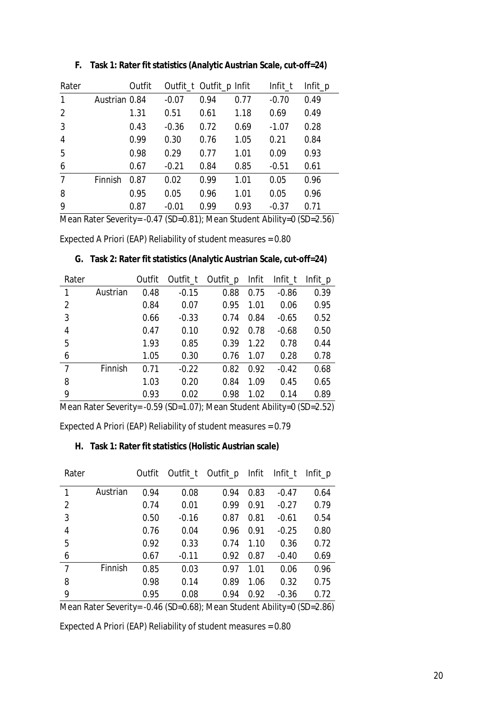| Rater          |                                       | Outfit |         | Outfit_t Outfit_p Infit |      | Infit_t | $Infit\_p$ |
|----------------|---------------------------------------|--------|---------|-------------------------|------|---------|------------|
| $\mathbf{1}$   | Austrian 0.84                         |        | $-0.07$ | 0.94                    | 0.77 | $-0.70$ | 0.49       |
| 2              |                                       | 1.31   | 0.51    | 0.61                    | 1.18 | 0.69    | 0.49       |
| 3              |                                       | 0.43   | $-0.36$ | 0.72                    | 0.69 | $-1.07$ | 0.28       |
| $\overline{4}$ |                                       | 0.99   | 0.30    | 0.76                    | 1.05 | 0.21    | 0.84       |
| 5              |                                       | 0.98   | 0.29    | 0.77                    | 1.01 | 0.09    | 0.93       |
| 6              |                                       | 0.67   | $-0.21$ | 0.84                    | 0.85 | $-0.51$ | 0.61       |
| $\overline{7}$ | Finnish                               | 0.87   | 0.02    | 0.99                    | 1.01 | 0.05    | 0.96       |
| 8              |                                       | 0.95   | 0.05    | 0.96                    | 1.01 | 0.05    | 0.96       |
| 9              |                                       | 0.87   | $-0.01$ | 0.99                    | 0.93 | $-0.37$ | 0.71       |
|                | $M = D + C$ $H = Q + T / C D Q Q Q A$ |        |         |                         |      |         |            |

**F. Task 1: Rater fit statistics (Analytic Austrian Scale, cut-off=24)**

Mean Rater Severity= -0.47 (SD=0.81); Mean Student Ability=0 (SD=2.56)

Expected A Priori (EAP) Reliability of student measures = 0.80

|  | G. Task 2: Rater fit statistics (Analytic Austrian Scale, cut-off=24) |  |
|--|-----------------------------------------------------------------------|--|
|--|-----------------------------------------------------------------------|--|

| Rater          |          | Outfit | Outfit_t | Outfit_p Infit |      | Infit_t | Infit_p |
|----------------|----------|--------|----------|----------------|------|---------|---------|
| 1              | Austrian | 0.48   | $-0.15$  | 0.88           | 0.75 | $-0.86$ | 0.39    |
| 2              |          | 0.84   | 0.07     | 0.95           | 1.01 | 0.06    | 0.95    |
| $\mathbf{3}$   |          | 0.66   | $-0.33$  | 0.74           | 0.84 | $-0.65$ | 0.52    |
| $\overline{4}$ |          | 0.47   | 0.10     | 0.92           | 0.78 | $-0.68$ | 0.50    |
| 5              |          | 1.93   | 0.85     | 0.39           | 1.22 | 0.78    | 0.44    |
| 6              |          | 1.05   | 0.30     | 0.76           | 1.07 | 0.28    | 0.78    |
| $\overline{7}$ | Finnish  | 0.71   | $-0.22$  | 0.82           | 0.92 | $-0.42$ | 0.68    |
| 8              |          | 1.03   | 0.20     | 0.84           | 1.09 | 0.45    | 0.65    |
| 9              |          | 0.93   | 0.02     | 0.98           | 1.02 | 0.14    | 0.89    |
|                |          |        |          |                |      |         |         |

Mean Rater Severity= -0.59 (SD=1.07); Mean Student Ability=0 (SD=2.52)

Expected A Priori (EAP) Reliability of student measures = 0.79

**H. Task 1: Rater fit statistics (Holistic Austrian scale)**

| Rater          |                                                                                                                                                                    | Outfit |         | Outfit_t Outfit_p Infit Infit_t Infit_p |      |         |      |  |
|----------------|--------------------------------------------------------------------------------------------------------------------------------------------------------------------|--------|---------|-----------------------------------------|------|---------|------|--|
| 1              | Austrian                                                                                                                                                           | 0.94   | 0.08    | 0.94                                    | 0.83 | $-0.47$ | 0.64 |  |
| 2              |                                                                                                                                                                    | 0.74   | 0.01    | 0.99                                    | 0.91 | $-0.27$ | 0.79 |  |
| $\mathfrak{Z}$ |                                                                                                                                                                    | 0.50   | $-0.16$ | 0.87                                    | 0.81 | $-0.61$ | 0.54 |  |
| $\overline{4}$ |                                                                                                                                                                    | 0.76   | 0.04    | 0.96                                    | 0.91 | $-0.25$ | 0.80 |  |
| 5              |                                                                                                                                                                    | 0.92   | 0.33    | 0.74                                    | 1.10 | 0.36    | 0.72 |  |
| 6              |                                                                                                                                                                    | 0.67   | $-0.11$ | 0.92                                    | 0.87 | $-0.40$ | 0.69 |  |
| $\overline{7}$ | Finnish                                                                                                                                                            | 0.85   | 0.03    | 0.97                                    | 1.01 | 0.06    | 0.96 |  |
| 8              |                                                                                                                                                                    | 0.98   | 0.14    | 0.89                                    | 1.06 | 0.32    | 0.75 |  |
| 9              |                                                                                                                                                                    | 0.95   | 0.08    | 0.94                                    | 0.92 | $-0.36$ | 0.72 |  |
|                | $M_{\text{max}}$ $D_{\text{max}}$ $C_{\text{max}}$ . $\Delta M$ $\Delta M$ $\Delta M$ $\Delta M$ $\Delta M$ $\Delta M$ $\Delta M$ $\Delta M$ $\Delta M$ $\Delta M$ |        |         |                                         |      |         |      |  |

Mean Rater Severity= -0.46 (SD=0.68); Mean Student Ability=0 (SD=2.86)

Expected A Priori (EAP) Reliability of student measures = 0.80